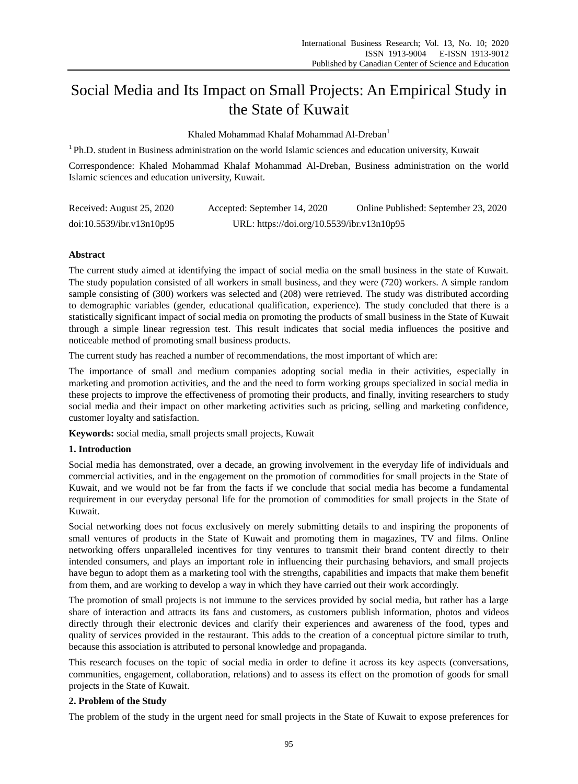# Social Media and Its Impact on Small Projects: An Empirical Study in the State of Kuwait

Khaled Mohammad Khalaf Mohammad Al-Dreban<sup>1</sup>

<sup>1</sup> Ph.D. student in Business administration on the world Islamic sciences and education university, Kuwait

Correspondence: Khaled Mohammad Khalaf Mohammad Al-Dreban, Business administration on the world Islamic sciences and education university, Kuwait.

| Received: August 25, 2020 | Accepted: September 14, 2020               | Online Published: September 23, 2020 |
|---------------------------|--------------------------------------------|--------------------------------------|
| doi:10.5539/ibr.v13n10p95 | URL: https://doi.org/10.5539/ibr.v13n10p95 |                                      |

# **Abstract**

The current study aimed at identifying the impact of social media on the small business in the state of Kuwait. The study population consisted of all workers in small business, and they were (720) workers. A simple random sample consisting of (300) workers was selected and (208) were retrieved. The study was distributed according to demographic variables (gender, educational qualification, experience). The study concluded that there is a statistically significant impact of social media on promoting the products of small business in the State of Kuwait through a simple linear regression test. This result indicates that social media influences the positive and noticeable method of promoting small business products.

The current study has reached a number of recommendations, the most important of which are:

The importance of small and medium companies adopting social media in their activities, especially in marketing and promotion activities, and the and the need to form working groups specialized in social media in these projects to improve the effectiveness of promoting their products, and finally, inviting researchers to study social media and their impact on other marketing activities such as pricing, selling and marketing confidence, customer loyalty and satisfaction.

**Keywords:** social media, small projects small projects, Kuwait

# **1. Introduction**

Social media has demonstrated, over a decade, an growing involvement in the everyday life of individuals and commercial activities, and in the engagement on the promotion of commodities for small projects in the State of Kuwait, and we would not be far from the facts if we conclude that social media has become a fundamental requirement in our everyday personal life for the promotion of commodities for small projects in the State of Kuwait.

Social networking does not focus exclusively on merely submitting details to and inspiring the proponents of small ventures of products in the State of Kuwait and promoting them in magazines, TV and films. Online networking offers unparalleled incentives for tiny ventures to transmit their brand content directly to their intended consumers, and plays an important role in influencing their purchasing behaviors, and small projects have begun to adopt them as a marketing tool with the strengths, capabilities and impacts that make them benefit from them, and are working to develop a way in which they have carried out their work accordingly.

The promotion of small projects is not immune to the services provided by social media, but rather has a large share of interaction and attracts its fans and customers, as customers publish information, photos and videos directly through their electronic devices and clarify their experiences and awareness of the food, types and quality of services provided in the restaurant. This adds to the creation of a conceptual picture similar to truth, because this association is attributed to personal knowledge and propaganda.

This research focuses on the topic of social media in order to define it across its key aspects (conversations, communities, engagement, collaboration, relations) and to assess its effect on the promotion of goods for small projects in the State of Kuwait.

# **2. Problem of the Study**

The problem of the study in the urgent need for small projects in the State of Kuwait to expose preferences for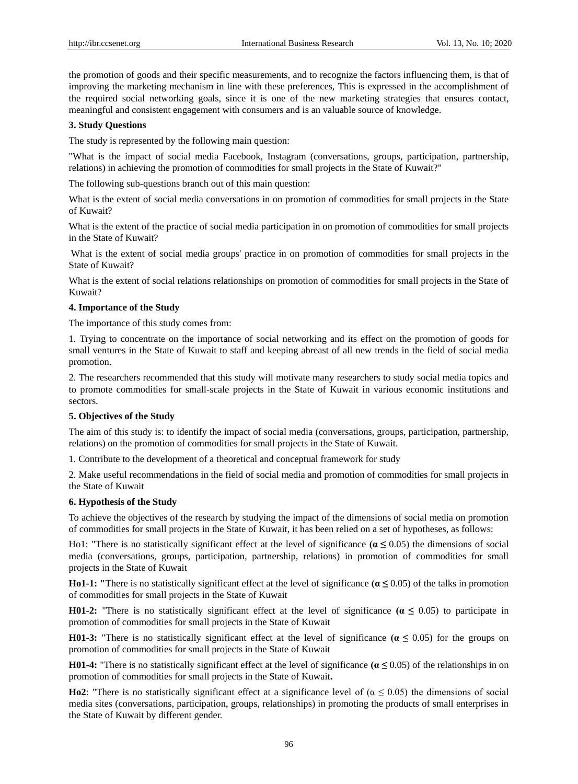the promotion of goods and their specific measurements, and to recognize the factors influencing them, is that of improving the marketing mechanism in line with these preferences, This is expressed in the accomplishment of the required social networking goals, since it is one of the new marketing strategies that ensures contact, meaningful and consistent engagement with consumers and is an valuable source of knowledge.

## **3. Study Questions**

The study is represented by the following main question:

"What is the impact of social media Facebook, Instagram (conversations, groups, participation, partnership, relations) in achieving the promotion of commodities for small projects in the State of Kuwait?"

The following sub-questions branch out of this main question:

What is the extent of social media conversations in on promotion of commodities for small projects in the State of Kuwait?

What is the extent of the practice of social media participation in on promotion of commodities for small projects in the State of Kuwait?

What is the extent of social media groups' practice in on promotion of commodities for small projects in the State of Kuwait?

What is the extent of social relations relationships on promotion of commodities for small projects in the State of Kuwait?

## **4. Importance of the Study**

The importance of this study comes from:

1. Trying to concentrate on the importance of social networking and its effect on the promotion of goods for small ventures in the State of Kuwait to staff and keeping abreast of all new trends in the field of social media promotion.

2. The researchers recommended that this study will motivate many researchers to study social media topics and to promote commodities for small-scale projects in the State of Kuwait in various economic institutions and sectors.

# **5. Objectives of the Study**

The aim of this study is: to identify the impact of social media (conversations, groups, participation, partnership, relations) on the promotion of commodities for small projects in the State of Kuwait.

1. Contribute to the development of a theoretical and conceptual framework for study

2. Make useful recommendations in the field of social media and promotion of commodities for small projects in the State of Kuwait

#### **6. Hypothesis of the Study**

To achieve the objectives of the research by studying the impact of the dimensions of social media on promotion of commodities for small projects in the State of Kuwait, it has been relied on a set of hypotheses, as follows:

Ho1: "There is no statistically significant effect at the level of significance **(α ≤** 0.05) the dimensions of social media (conversations, groups, participation, partnership, relations) in promotion of commodities for small projects in the State of Kuwait

**Ho1-1: "**There is no statistically significant effect at the level of significance **(α ≤** 0.05) of the talks in promotion of commodities for small projects in the State of Kuwait

**H01-2:** "There is no statistically significant effect at the level of significance  $(a \le 0.05)$  to participate in promotion of commodities for small projects in the State of Kuwait

**H01-3:** "There is no statistically significant effect at the level of significance **(α ≤** 0.05) for the groups on promotion of commodities for small projects in the State of Kuwait

**H01-4:** "There is no statistically significant effect at the level of significance **(α ≤** 0.05) of the relationships in on promotion of commodities for small projects in the State of Kuwait**.**

**Ho2**: "There is no statistically significant effect at a significance level of ( $\alpha \le 0.05$ ) the dimensions of social media sites (conversations, participation, groups, relationships) in promoting the products of small enterprises in the State of Kuwait by different gender.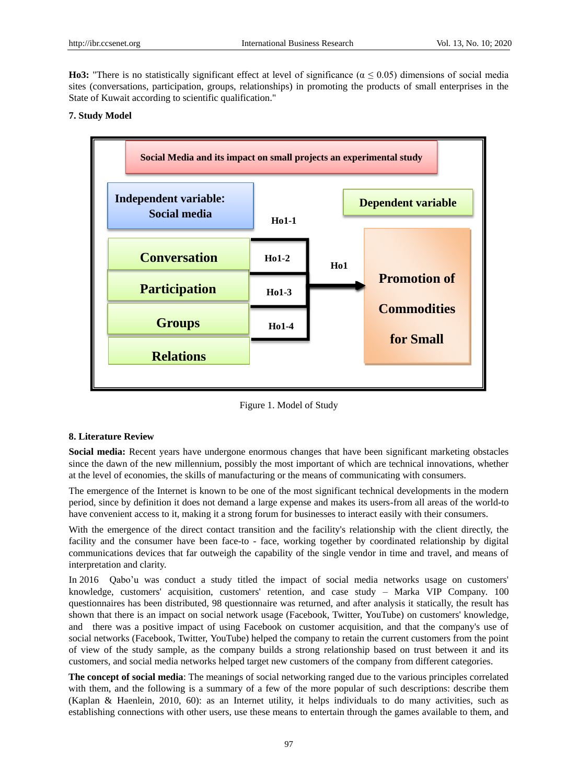**Ho3:** "There is no statistically significant effect at level of significance ( $α ≤ 0.05$ ) dimensions of social media sites (conversations, participation, groups, relationships) in promoting the products of small enterprises in the State of Kuwait according to scientific qualification."

# **7. Study Model**



Figure 1. Model of Study

#### **8. Literature Review**

**Social media:** Recent years have undergone enormous changes that have been significant marketing obstacles since the dawn of the new millennium, possibly the most important of which are technical innovations, whether at the level of economies, the skills of manufacturing or the means of communicating with consumers.

The emergence of the Internet is known to be one of the most significant technical developments in the modern period, since by definition it does not demand a large expense and makes its users-from all areas of the world-to have convenient access to it, making it a strong forum for businesses to interact easily with their consumers.

With the emergence of the direct contact transition and the facility's relationship with the client directly, the facility and the consumer have been face-to - face, working together by coordinated relationship by digital communications devices that far outweigh the capability of the single vendor in time and travel, and means of interpretation and clarity.

In 2016 Qabo'u was conduct a study titled the impact of social media networks usage on customers' knowledge, customers' acquisition, customers' retention, and case study – Marka VIP Company. 100 questionnaires has been distributed, 98 questionnaire was returned, and after analysis it statically, the result has shown that there is an impact on social network usage (Facebook, Twitter, YouTube) on customers' knowledge, and there was a positive impact of using Facebook on customer acquisition, and that the company's use of social networks (Facebook, Twitter, YouTube) helped the company to retain the current customers from the point of view of the study sample, as the company builds a strong relationship based on trust between it and its customers, and social media networks helped target new customers of the company from different categories.

**The concept of social media**: The meanings of social networking ranged due to the various principles correlated with them, and the following is a summary of a few of the more popular of such descriptions: describe them (Kaplan & Haenlein, 2010, 60): as an Internet utility, it helps individuals to do many activities, such as establishing connections with other users, use these means to entertain through the games available to them, and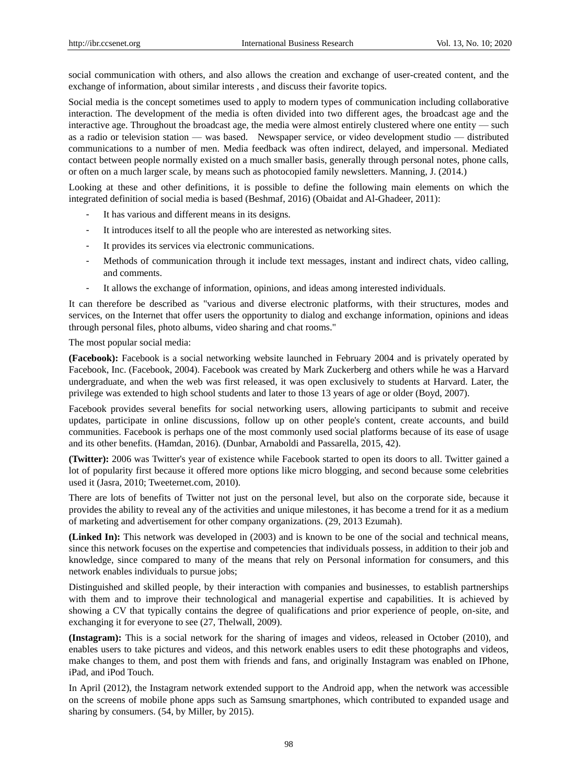social communication with others, and also allows the creation and exchange of user-created content, and the exchange of information, about similar interests , and discuss their favorite topics.

Social media is the concept sometimes used to apply to modern types of communication including collaborative interaction. The development of the media is often divided into two different ages, the broadcast age and the interactive age. Throughout the broadcast age, the media were almost entirely clustered where one entity — such as a radio or television station — was based. Newspaper service, or video development studio — distributed communications to a number of men. Media feedback was often indirect, delayed, and impersonal. Mediated contact between people normally existed on a much smaller basis, generally through personal notes, phone calls, or often on a much larger scale, by means such as photocopied family newsletters. Manning, J. (2014.)

Looking at these and other definitions, it is possible to define the following main elements on which the integrated definition of social media is based (Beshmaf, 2016) (Obaidat and Al-Ghadeer, 2011):

- It has various and different means in its designs.
- It introduces itself to all the people who are interested as networking sites.
- It provides its services via electronic communications.
- Methods of communication through it include text messages, instant and indirect chats, video calling, and comments.
- It allows the exchange of information, opinions, and ideas among interested individuals.

It can therefore be described as "various and diverse electronic platforms, with their structures, modes and services, on the Internet that offer users the opportunity to dialog and exchange information, opinions and ideas through personal files, photo albums, video sharing and chat rooms."

The most popular social media:

**(Facebook):** Facebook is a social networking website launched in February 2004 and is privately operated by Facebook, Inc. (Facebook, 2004). Facebook was created by Mark Zuckerberg and others while he was a Harvard undergraduate, and when the web was first released, it was open exclusively to students at Harvard. Later, the privilege was extended to high school students and later to those 13 years of age or older (Boyd, 2007).

Facebook provides several benefits for social networking users, allowing participants to submit and receive updates, participate in online discussions, follow up on other people's content, create accounts, and build communities. Facebook is perhaps one of the most commonly used social platforms because of its ease of usage and its other benefits. (Hamdan, 2016). (Dunbar, Arnaboldi and Passarella, 2015, 42).

**(Twitter):** 2006 was Twitter's year of existence while Facebook started to open its doors to all. Twitter gained a lot of popularity first because it offered more options like micro blogging, and second because some celebrities used it (Jasra, 2010; Tweeternet.com, 2010).

There are lots of benefits of Twitter not just on the personal level, but also on the corporate side, because it provides the ability to reveal any of the activities and unique milestones, it has become a trend for it as a medium of marketing and advertisement for other company organizations. (29, 2013 Ezumah).

**(Linked In):** This network was developed in (2003) and is known to be one of the social and technical means, since this network focuses on the expertise and competencies that individuals possess, in addition to their job and knowledge, since compared to many of the means that rely on Personal information for consumers, and this network enables individuals to pursue jobs;

Distinguished and skilled people, by their interaction with companies and businesses, to establish partnerships with them and to improve their technological and managerial expertise and capabilities. It is achieved by showing a CV that typically contains the degree of qualifications and prior experience of people, on-site, and exchanging it for everyone to see (27, Thelwall, 2009).

**(Instagram):** This is a social network for the sharing of images and videos, released in October (2010), and enables users to take pictures and videos, and this network enables users to edit these photographs and videos, make changes to them, and post them with friends and fans, and originally Instagram was enabled on IPhone, iPad, and iPod Touch.

In April (2012), the Instagram network extended support to the Android app, when the network was accessible on the screens of mobile phone apps such as Samsung smartphones, which contributed to expanded usage and sharing by consumers. (54, by Miller, by 2015).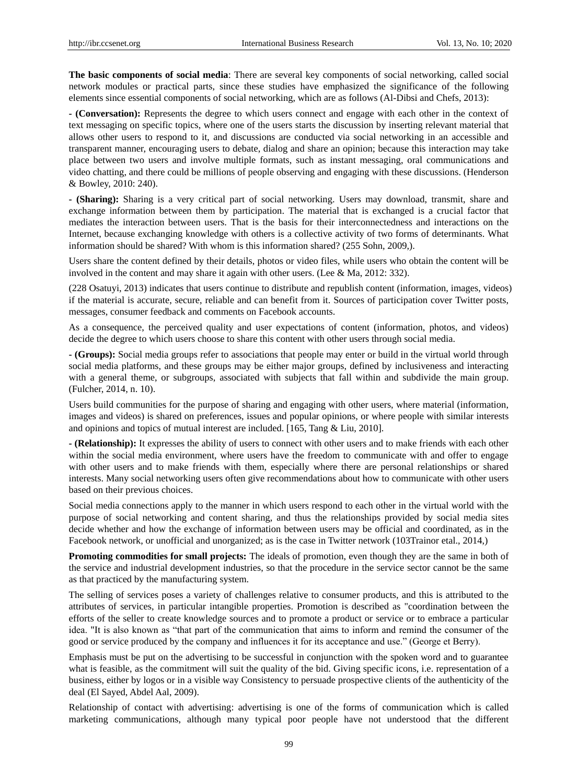**The basic components of social media**: There are several key components of social networking, called social network modules or practical parts, since these studies have emphasized the significance of the following elements since essential components of social networking, which are as follows (Al-Dibsi and Chefs, 2013):

**- (Conversation):** Represents the degree to which users connect and engage with each other in the context of text messaging on specific topics, where one of the users starts the discussion by inserting relevant material that allows other users to respond to it, and discussions are conducted via social networking in an accessible and transparent manner, encouraging users to debate, dialog and share an opinion; because this interaction may take place between two users and involve multiple formats, such as instant messaging, oral communications and video chatting, and there could be millions of people observing and engaging with these discussions. (Henderson & Bowley, 2010: 240).

**- (Sharing):** Sharing is a very critical part of social networking. Users may download, transmit, share and exchange information between them by participation. The material that is exchanged is a crucial factor that mediates the interaction between users. That is the basis for their interconnectedness and interactions on the Internet, because exchanging knowledge with others is a collective activity of two forms of determinants. What information should be shared? With whom is this information shared? (255 Sohn, 2009,).

Users share the content defined by their details, photos or video files, while users who obtain the content will be involved in the content and may share it again with other users. (Lee & Ma, 2012: 332).

(228 Osatuyi, 2013) indicates that users continue to distribute and republish content (information, images, videos) if the material is accurate, secure, reliable and can benefit from it. Sources of participation cover Twitter posts, messages, consumer feedback and comments on Facebook accounts.

As a consequence, the perceived quality and user expectations of content (information, photos, and videos) decide the degree to which users choose to share this content with other users through social media.

**- (Groups):** Social media groups refer to associations that people may enter or build in the virtual world through social media platforms, and these groups may be either major groups, defined by inclusiveness and interacting with a general theme, or subgroups, associated with subjects that fall within and subdivide the main group. (Fulcher, 2014, n. 10).

Users build communities for the purpose of sharing and engaging with other users, where material (information, images and videos) is shared on preferences, issues and popular opinions, or where people with similar interests and opinions and topics of mutual interest are included. [165, Tang & Liu, 2010].

**- (Relationship):** It expresses the ability of users to connect with other users and to make friends with each other within the social media environment, where users have the freedom to communicate with and offer to engage with other users and to make friends with them, especially where there are personal relationships or shared interests. Many social networking users often give recommendations about how to communicate with other users based on their previous choices.

Social media connections apply to the manner in which users respond to each other in the virtual world with the purpose of social networking and content sharing, and thus the relationships provided by social media sites decide whether and how the exchange of information between users may be official and coordinated, as in the Facebook network, or unofficial and unorganized; as is the case in Twitter network (103Trainor etal., 2014,)

**Promoting commodities for small projects:** The ideals of promotion, even though they are the same in both of the service and industrial development industries, so that the procedure in the service sector cannot be the same as that practiced by the manufacturing system.

The selling of services poses a variety of challenges relative to consumer products, and this is attributed to the attributes of services, in particular intangible properties. Promotion is described as "coordination between the efforts of the seller to create knowledge sources and to promote a product or service or to embrace a particular idea. "It is also known as "that part of the communication that aims to inform and remind the consumer of the good or service produced by the company and influences it for its acceptance and use.‖ (George et Berry).

Emphasis must be put on the advertising to be successful in conjunction with the spoken word and to guarantee what is feasible, as the commitment will suit the quality of the bid. Giving specific icons, i.e. representation of a business, either by logos or in a visible way Consistency to persuade prospective clients of the authenticity of the deal (El Sayed, Abdel Aal, 2009).

Relationship of contact with advertising: advertising is one of the forms of communication which is called marketing communications, although many typical poor people have not understood that the different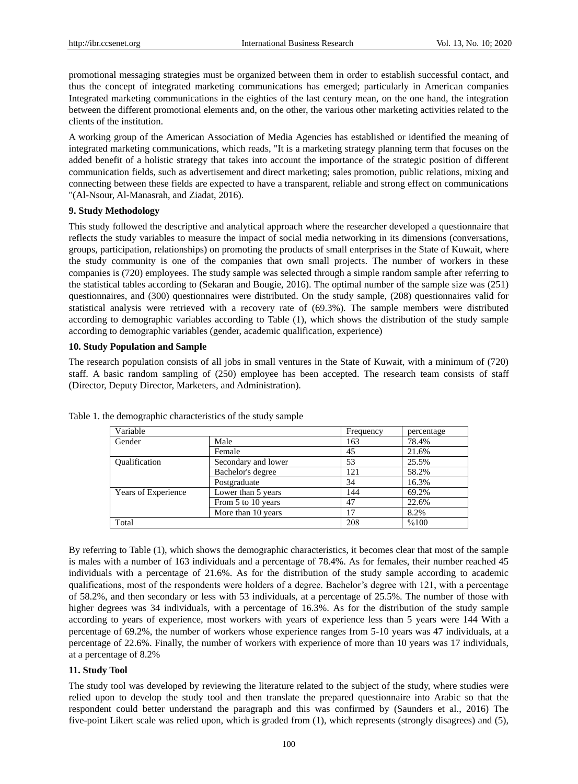promotional messaging strategies must be organized between them in order to establish successful contact, and thus the concept of integrated marketing communications has emerged; particularly in American companies Integrated marketing communications in the eighties of the last century mean, on the one hand, the integration between the different promotional elements and, on the other, the various other marketing activities related to the clients of the institution.

A working group of the American Association of Media Agencies has established or identified the meaning of integrated marketing communications, which reads, "It is a marketing strategy planning term that focuses on the added benefit of a holistic strategy that takes into account the importance of the strategic position of different communication fields, such as advertisement and direct marketing; sales promotion, public relations, mixing and connecting between these fields are expected to have a transparent, reliable and strong effect on communications "(Al-Nsour, Al-Manasrah, and Ziadat, 2016).

## **9. Study Methodology**

This study followed the descriptive and analytical approach where the researcher developed a questionnaire that reflects the study variables to measure the impact of social media networking in its dimensions (conversations, groups, participation, relationships) on promoting the products of small enterprises in the State of Kuwait, where the study community is one of the companies that own small projects. The number of workers in these companies is (720) employees. The study sample was selected through a simple random sample after referring to the statistical tables according to (Sekaran and Bougie, 2016). The optimal number of the sample size was (251) questionnaires, and (300) questionnaires were distributed. On the study sample, (208) questionnaires valid for statistical analysis were retrieved with a recovery rate of (69.3%). The sample members were distributed according to demographic variables according to Table (1), which shows the distribution of the study sample according to demographic variables (gender, academic qualification, experience)

## **10. Study Population and Sample**

The research population consists of all jobs in small ventures in the State of Kuwait, with a minimum of (720) staff. A basic random sampling of (250) employee has been accepted. The research team consists of staff (Director, Deputy Director, Marketers, and Administration).

| Variable             | Frequency           | percentage |       |
|----------------------|---------------------|------------|-------|
| Gender               | Male                | 163        | 78.4% |
|                      | Female              | 45         | 21.6% |
| <b>Oualification</b> | Secondary and lower | 53         | 25.5% |
|                      | Bachelor's degree   | 121        | 58.2% |
|                      | Postgraduate        | 34         | 16.3% |
| Years of Experience  | Lower than 5 years  | 144        | 69.2% |
|                      | From 5 to 10 years  | 47         | 22.6% |
|                      | More than 10 years  | 17         | 8.2%  |
| Total                |                     | 208        | %100  |

Table 1. the demographic characteristics of the study sample

By referring to Table (1), which shows the demographic characteristics, it becomes clear that most of the sample is males with a number of 163 individuals and a percentage of 78.4%. As for females, their number reached 45 individuals with a percentage of 21.6%. As for the distribution of the study sample according to academic qualifications, most of the respondents were holders of a degree. Bachelor's degree with 121, with a percentage of 58.2%, and then secondary or less with 53 individuals, at a percentage of 25.5%. The number of those with higher degrees was 34 individuals, with a percentage of 16.3%. As for the distribution of the study sample according to years of experience, most workers with years of experience less than 5 years were 144 With a percentage of 69.2%, the number of workers whose experience ranges from 5-10 years was 47 individuals, at a percentage of 22.6%. Finally, the number of workers with experience of more than 10 years was 17 individuals, at a percentage of 8.2%

# **11. Study Tool**

The study tool was developed by reviewing the literature related to the subject of the study, where studies were relied upon to develop the study tool and then translate the prepared questionnaire into Arabic so that the respondent could better understand the paragraph and this was confirmed by (Saunders et al., 2016) The five-point Likert scale was relied upon, which is graded from (1), which represents (strongly disagrees) and (5),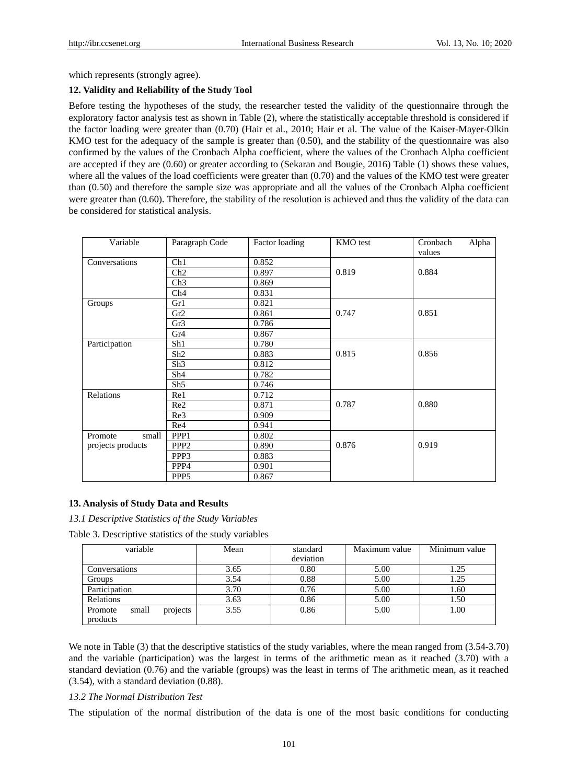which represents (strongly agree).

## **12. Validity and Reliability of the Study Tool**

Before testing the hypotheses of the study, the researcher tested the validity of the questionnaire through the exploratory factor analysis test as shown in Table (2), where the statistically acceptable threshold is considered if the factor loading were greater than (0.70) (Hair et al., 2010; Hair et al. The value of the Kaiser-Mayer-Olkin KMO test for the adequacy of the sample is greater than (0.50), and the stability of the questionnaire was also confirmed by the values of the Cronbach Alpha coefficient, where the values of the Cronbach Alpha coefficient are accepted if they are (0.60) or greater according to (Sekaran and Bougie, 2016) Table (1) shows these values, where all the values of the load coefficients were greater than (0.70) and the values of the KMO test were greater than (0.50) and therefore the sample size was appropriate and all the values of the Cronbach Alpha coefficient were greater than (0.60). Therefore, the stability of the resolution is achieved and thus the validity of the data can be considered for statistical analysis.

| Variable          | Paragraph Code   | Factor loading | KMO test | Cronbach<br>Alpha |
|-------------------|------------------|----------------|----------|-------------------|
| Conversations     | Ch1              | 0.852          |          | values            |
|                   | Ch2              | 0.897          | 0.819    | 0.884             |
|                   | Ch3              | 0.869          |          |                   |
|                   | Ch4              | 0.831          |          |                   |
|                   | Gr1              | 0.821          |          |                   |
| Groups            | Gr2              | 0.861          | 0.747    | 0.851             |
|                   | Gr3              | 0.786          |          |                   |
|                   | Gr4              | 0.867          |          |                   |
| Participation     | Sh1              | 0.780          |          |                   |
|                   | Sh <sub>2</sub>  | 0.883          | 0.815    | 0.856             |
|                   | Sh <sub>3</sub>  | 0.812          |          |                   |
|                   |                  |                |          |                   |
|                   | Sh4              | 0.782          |          |                   |
|                   | Sh <sub>5</sub>  | 0.746          |          |                   |
| Relations         | Re1              | 0.712          |          |                   |
|                   | Re <sub>2</sub>  | 0.871          | 0.787    | 0.880             |
|                   | Re3              | 0.909          |          |                   |
|                   | Re4              | 0.941          |          |                   |
| Promote<br>small  | PPP1             | 0.802          |          |                   |
| projects products | PPP <sub>2</sub> | 0.890          | 0.876    | 0.919             |
|                   | PPP3             | 0.883          |          |                   |
|                   | PPP4             | 0.901          |          |                   |
|                   | PPP <sub>5</sub> | 0.867          |          |                   |

# **13. Analysis of Study Data and Results**

*13.1 Descriptive Statistics of the Study Variables*

Table 3. Descriptive statistics of the study variables

| variable                                 | Mean | standard<br>deviation | Maximum value | Minimum value |
|------------------------------------------|------|-----------------------|---------------|---------------|
| Conversations                            | 3.65 | 0.80                  | 5.00          | 1.25          |
| Groups                                   | 3.54 | 0.88                  | 5.00          | 1.25          |
| Participation                            | 3.70 | 0.76                  | 5.00          | 1.60          |
| Relations                                | 3.63 | 0.86                  | 5.00          | 1.50          |
| projects<br>small<br>Promote<br>products | 3.55 | 0.86                  | 5.00          | 1.00          |

We note in Table (3) that the descriptive statistics of the study variables, where the mean ranged from (3.54-3.70) and the variable (participation) was the largest in terms of the arithmetic mean as it reached (3.70) with a standard deviation (0.76) and the variable (groups) was the least in terms of The arithmetic mean, as it reached (3.54), with a standard deviation (0.88).

#### *13.2 The Normal Distribution Test*

The stipulation of the normal distribution of the data is one of the most basic conditions for conducting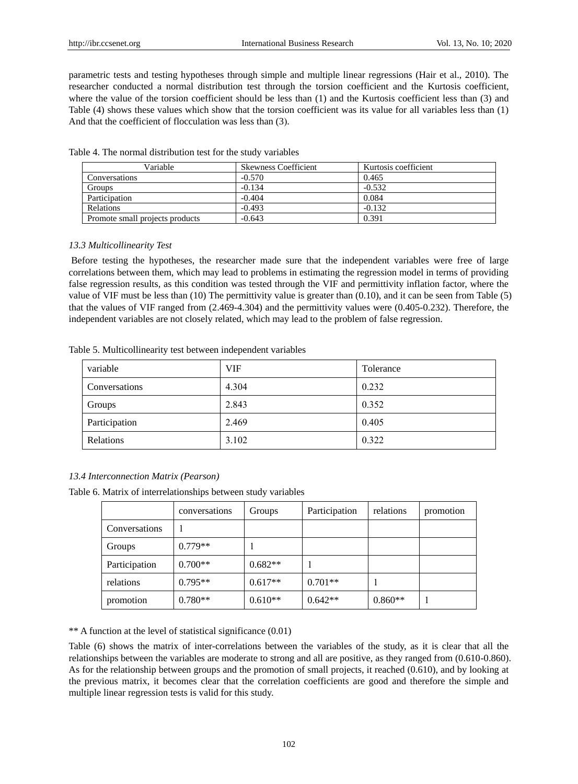parametric tests and testing hypotheses through simple and multiple linear regressions (Hair et al., 2010). The researcher conducted a normal distribution test through the torsion coefficient and the Kurtosis coefficient, where the value of the torsion coefficient should be less than (1) and the Kurtosis coefficient less than (3) and Table (4) shows these values which show that the torsion coefficient was its value for all variables less than (1) And that the coefficient of flocculation was less than  $(3)$ .

| Variable                        | <b>Skewness Coefficient</b> | Kurtosis coefficient |
|---------------------------------|-----------------------------|----------------------|
| Conversations                   | $-0.570$                    | 0.465                |
| Groups                          | $-0.134$                    | $-0.532$             |
| Participation                   | $-0.404$                    | 0.084                |
| <b>Relations</b>                | $-0.493$                    | $-0.132$             |
| Promote small projects products | $-0.643$                    | 0.391                |

Table 4. The normal distribution test for the study variables

## *13.3 Multicollinearity Test*

Before testing the hypotheses, the researcher made sure that the independent variables were free of large correlations between them, which may lead to problems in estimating the regression model in terms of providing false regression results, as this condition was tested through the VIF and permittivity inflation factor, where the value of VIF must be less than (10) The permittivity value is greater than (0.10), and it can be seen from Table (5) that the values of VIF ranged from (2.469-4.304) and the permittivity values were (0.405-0.232). Therefore, the independent variables are not closely related, which may lead to the problem of false regression.

| Table 5. Multicollinearity test between independent variables |  |  |  |
|---------------------------------------------------------------|--|--|--|
|---------------------------------------------------------------|--|--|--|

| variable      | <b>VIF</b> | Tolerance |
|---------------|------------|-----------|
| Conversations | 4.304      | 0.232     |
| Groups        | 2.843      | 0.352     |
| Participation | 2.469      | 0.405     |
| Relations     | 3.102      | 0.322     |

## *13.4 Interconnection Matrix (Pearson)*

Table 6. Matrix of interrelationships between study variables

|               | conversations | Groups    | Participation | relations | promotion |
|---------------|---------------|-----------|---------------|-----------|-----------|
| Conversations |               |           |               |           |           |
| Groups        | $0.779**$     |           |               |           |           |
| Participation | $0.700**$     | $0.682**$ |               |           |           |
| relations     | $0.795**$     | $0.617**$ | $0.701**$     |           |           |
| promotion     | $0.780**$     | $0.610**$ | $0.642**$     | $0.860**$ |           |

\*\* A function at the level of statistical significance (0.01)

Table (6) shows the matrix of inter-correlations between the variables of the study, as it is clear that all the relationships between the variables are moderate to strong and all are positive, as they ranged from (0.610-0.860). As for the relationship between groups and the promotion of small projects, it reached (0.610), and by looking at the previous matrix, it becomes clear that the correlation coefficients are good and therefore the simple and multiple linear regression tests is valid for this study.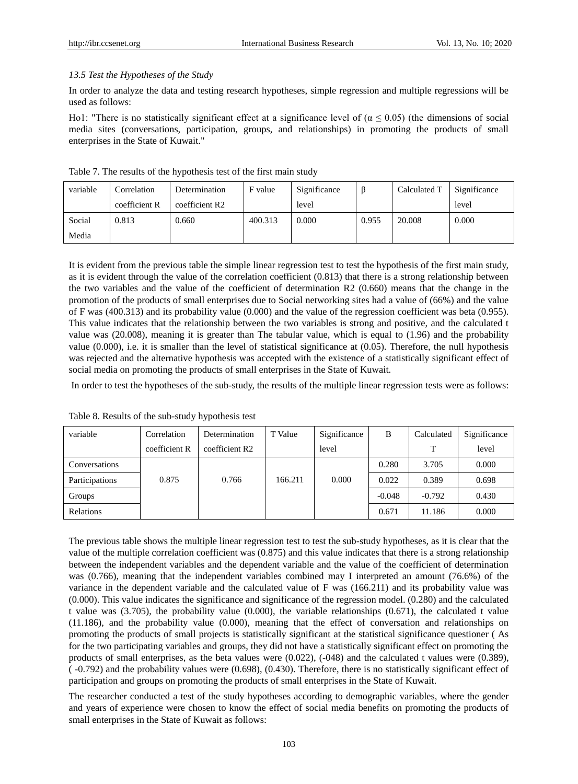#### *13.5 Test the Hypotheses of the Study*

In order to analyze the data and testing research hypotheses, simple regression and multiple regressions will be used as follows:

Ho1: "There is no statistically significant effect at a significance level of  $(\alpha \le 0.05)$  (the dimensions of social media sites (conversations, participation, groups, and relationships) in promoting the products of small enterprises in the State of Kuwait."

| variable | Correlation   | Determination  | F value | Significance | ß     | Calculated T | Significance |
|----------|---------------|----------------|---------|--------------|-------|--------------|--------------|
|          | coefficient R | coefficient R2 |         | level        |       |              | level        |
| Social   | 0.813         | 0.660          | 400.313 | 0.000        | 0.955 | 20.008       | 0.000        |
| Media    |               |                |         |              |       |              |              |

Table 7. The results of the hypothesis test of the first main study

It is evident from the previous table the simple linear regression test to test the hypothesis of the first main study, as it is evident through the value of the correlation coefficient (0.813) that there is a strong relationship between the two variables and the value of the coefficient of determination R2 (0.660) means that the change in the promotion of the products of small enterprises due to Social networking sites had a value of (66%) and the value of F was (400.313) and its probability value (0.000) and the value of the regression coefficient was beta (0.955). This value indicates that the relationship between the two variables is strong and positive, and the calculated t value was (20.008), meaning it is greater than The tabular value, which is equal to (1.96) and the probability value (0.000), i.e. it is smaller than the level of statistical significance at (0.05). Therefore, the null hypothesis was rejected and the alternative hypothesis was accepted with the existence of a statistically significant effect of social media on promoting the products of small enterprises in the State of Kuwait.

In order to test the hypotheses of the sub-study, the results of the multiple linear regression tests were as follows:

| variable       | Correlation   | Determination  | T Value | Significance | B        | Calculated | Significance |
|----------------|---------------|----------------|---------|--------------|----------|------------|--------------|
|                | coefficient R | coefficient R2 |         | level        |          | T          | level        |
| Conversations  |               |                |         |              | 0.280    | 3.705      | 0.000        |
| Participations | 0.875         | 0.766          | 166.211 | 0.000        | 0.022    | 0.389      | 0.698        |
| Groups         |               |                |         |              | $-0.048$ | $-0.792$   | 0.430        |
| Relations      |               |                |         |              | 0.671    | 11.186     | 0.000        |

Table 8. Results of the sub-study hypothesis test

The previous table shows the multiple linear regression test to test the sub-study hypotheses, as it is clear that the value of the multiple correlation coefficient was (0.875) and this value indicates that there is a strong relationship between the independent variables and the dependent variable and the value of the coefficient of determination was (0.766), meaning that the independent variables combined may I interpreted an amount (76.6%) of the variance in the dependent variable and the calculated value of F was (166.211) and its probability value was (0.000). This value indicates the significance and significance of the regression model. (0.280) and the calculated t value was (3.705), the probability value (0.000), the variable relationships (0.671), the calculated t value (11.186), and the probability value (0.000), meaning that the effect of conversation and relationships on promoting the products of small projects is statistically significant at the statistical significance questioner ( As for the two participating variables and groups, they did not have a statistically significant effect on promoting the products of small enterprises, as the beta values were (0.022), (-048) and the calculated t values were (0.389), ( -0.792) and the probability values were (0.698), (0.430). Therefore, there is no statistically significant effect of participation and groups on promoting the products of small enterprises in the State of Kuwait.

The researcher conducted a test of the study hypotheses according to demographic variables, where the gender and years of experience were chosen to know the effect of social media benefits on promoting the products of small enterprises in the State of Kuwait as follows: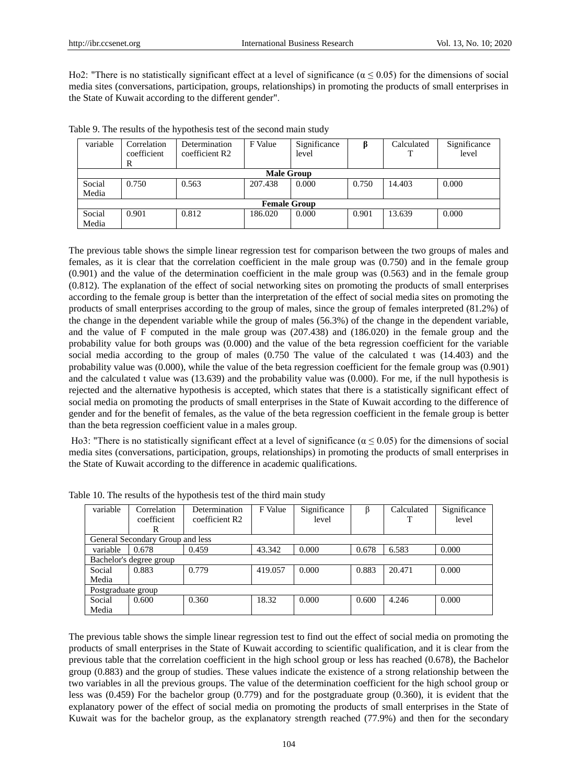Ho2: "There is no statistically significant effect at a level of significance ( $\alpha \le 0.05$ ) for the dimensions of social media sites (conversations, participation, groups, relationships) in promoting the products of small enterprises in the State of Kuwait according to the different gender".

| variable        | Correlation<br>coefficient<br>R | Determination<br>coefficient R2 | F Value | Significance<br>level |       | Calculated | Significance<br>level |  |  |
|-----------------|---------------------------------|---------------------------------|---------|-----------------------|-------|------------|-----------------------|--|--|
|                 | <b>Male Group</b>               |                                 |         |                       |       |            |                       |  |  |
| Social<br>Media | 0.750                           | 0.563                           | 207.438 | 0.000                 | 0.750 | 14.403     | 0.000                 |  |  |
|                 | <b>Female Group</b>             |                                 |         |                       |       |            |                       |  |  |
| Social          | 0.901                           | 0.812                           | 186.020 | 0.000                 | 0.901 | 13.639     | 0.000                 |  |  |
| Media           |                                 |                                 |         |                       |       |            |                       |  |  |

Table 9. The results of the hypothesis test of the second main study

The previous table shows the simple linear regression test for comparison between the two groups of males and females, as it is clear that the correlation coefficient in the male group was (0.750) and in the female group (0.901) and the value of the determination coefficient in the male group was (0.563) and in the female group (0.812). The explanation of the effect of social networking sites on promoting the products of small enterprises according to the female group is better than the interpretation of the effect of social media sites on promoting the products of small enterprises according to the group of males, since the group of females interpreted (81.2%) of the change in the dependent variable while the group of males (56.3%) of the change in the dependent variable, and the value of F computed in the male group was (207.438) and (186.020) in the female group and the probability value for both groups was (0.000) and the value of the beta regression coefficient for the variable social media according to the group of males (0.750 The value of the calculated t was (14.403) and the probability value was (0.000), while the value of the beta regression coefficient for the female group was (0.901) and the calculated t value was (13.639) and the probability value was (0.000). For me, if the null hypothesis is rejected and the alternative hypothesis is accepted, which states that there is a statistically significant effect of social media on promoting the products of small enterprises in the State of Kuwait according to the difference of gender and for the benefit of females, as the value of the beta regression coefficient in the female group is better than the beta regression coefficient value in a males group.

Ho3: "There is no statistically significant effect at a level of significance ( $\alpha \le 0.05$ ) for the dimensions of social media sites (conversations, participation, groups, relationships) in promoting the products of small enterprises in the State of Kuwait according to the difference in academic qualifications.

| variable           | Correlation                      | Determination  | F Value | Significance | β     | Calculated | Significance |
|--------------------|----------------------------------|----------------|---------|--------------|-------|------------|--------------|
|                    | coefficient                      | coefficient R2 |         | level        |       | T          | level        |
|                    | R                                |                |         |              |       |            |              |
|                    | General Secondary Group and less |                |         |              |       |            |              |
| variable           | 0.678                            | 0.459          | 43.342  | 0.000        | 0.678 | 6.583      | 0.000        |
|                    | Bachelor's degree group          |                |         |              |       |            |              |
| Social             | 0.883                            | 0.779          | 419.057 | 0.000        | 0.883 | 20.471     | 0.000        |
| Media              |                                  |                |         |              |       |            |              |
| Postgraduate group |                                  |                |         |              |       |            |              |
| Social             | 0.600                            | 0.360          | 18.32   | 0.000        | 0.600 | 4.246      | 0.000        |
| Media              |                                  |                |         |              |       |            |              |

Table 10. The results of the hypothesis test of the third main study

The previous table shows the simple linear regression test to find out the effect of social media on promoting the products of small enterprises in the State of Kuwait according to scientific qualification, and it is clear from the previous table that the correlation coefficient in the high school group or less has reached (0.678), the Bachelor group (0.883) and the group of studies. These values indicate the existence of a strong relationship between the two variables in all the previous groups. The value of the determination coefficient for the high school group or less was (0.459) For the bachelor group (0.779) and for the postgraduate group (0.360), it is evident that the explanatory power of the effect of social media on promoting the products of small enterprises in the State of Kuwait was for the bachelor group, as the explanatory strength reached (77.9%) and then for the secondary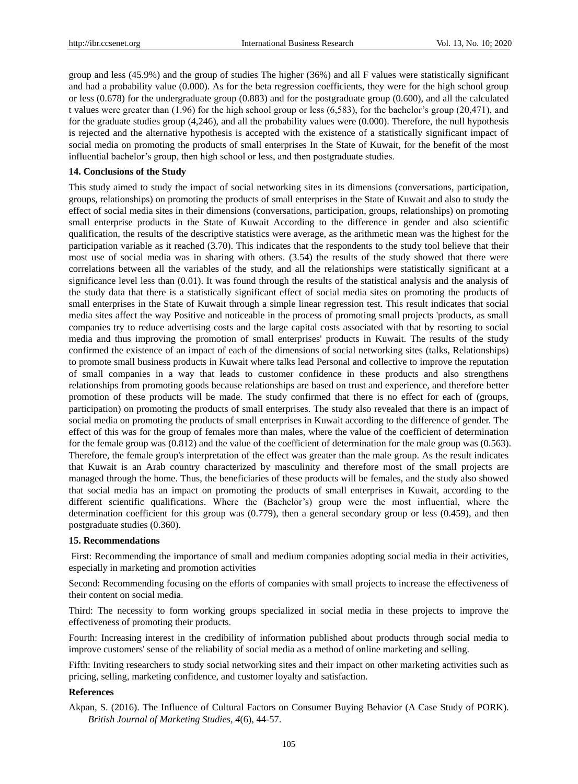group and less (45.9%) and the group of studies The higher (36%) and all F values were statistically significant and had a probability value (0.000). As for the beta regression coefficients, they were for the high school group or less (0.678) for the undergraduate group (0.883) and for the postgraduate group (0.600), and all the calculated t values were greater than (1.96) for the high school group or less (6,583), for the bachelor's group (20,471), and for the graduate studies group (4,246), and all the probability values were (0.000). Therefore, the null hypothesis is rejected and the alternative hypothesis is accepted with the existence of a statistically significant impact of social media on promoting the products of small enterprises In the State of Kuwait, for the benefit of the most influential bachelor's group, then high school or less, and then postgraduate studies.

#### **14. Conclusions of the Study**

This study aimed to study the impact of social networking sites in its dimensions (conversations, participation, groups, relationships) on promoting the products of small enterprises in the State of Kuwait and also to study the effect of social media sites in their dimensions (conversations, participation, groups, relationships) on promoting small enterprise products in the State of Kuwait According to the difference in gender and also scientific qualification, the results of the descriptive statistics were average, as the arithmetic mean was the highest for the participation variable as it reached (3.70). This indicates that the respondents to the study tool believe that their most use of social media was in sharing with others. (3.54) the results of the study showed that there were correlations between all the variables of the study, and all the relationships were statistically significant at a significance level less than (0.01). It was found through the results of the statistical analysis and the analysis of the study data that there is a statistically significant effect of social media sites on promoting the products of small enterprises in the State of Kuwait through a simple linear regression test. This result indicates that social media sites affect the way Positive and noticeable in the process of promoting small projects 'products, as small companies try to reduce advertising costs and the large capital costs associated with that by resorting to social media and thus improving the promotion of small enterprises' products in Kuwait. The results of the study confirmed the existence of an impact of each of the dimensions of social networking sites (talks, Relationships) to promote small business products in Kuwait where talks lead Personal and collective to improve the reputation of small companies in a way that leads to customer confidence in these products and also strengthens relationships from promoting goods because relationships are based on trust and experience, and therefore better promotion of these products will be made. The study confirmed that there is no effect for each of (groups, participation) on promoting the products of small enterprises. The study also revealed that there is an impact of social media on promoting the products of small enterprises in Kuwait according to the difference of gender. The effect of this was for the group of females more than males, where the value of the coefficient of determination for the female group was (0.812) and the value of the coefficient of determination for the male group was (0.563). Therefore, the female group's interpretation of the effect was greater than the male group. As the result indicates that Kuwait is an Arab country characterized by masculinity and therefore most of the small projects are managed through the home. Thus, the beneficiaries of these products will be females, and the study also showed that social media has an impact on promoting the products of small enterprises in Kuwait, according to the different scientific qualifications. Where the (Bachelor's) group were the most influential, where the determination coefficient for this group was (0.779), then a general secondary group or less (0.459), and then postgraduate studies (0.360).

#### **15. Recommendations**

First: Recommending the importance of small and medium companies adopting social media in their activities, especially in marketing and promotion activities

Second: Recommending focusing on the efforts of companies with small projects to increase the effectiveness of their content on social media.

Third: The necessity to form working groups specialized in social media in these projects to improve the effectiveness of promoting their products.

Fourth: Increasing interest in the credibility of information published about products through social media to improve customers' sense of the reliability of social media as a method of online marketing and selling.

Fifth: Inviting researchers to study social networking sites and their impact on other marketing activities such as pricing, selling, marketing confidence, and customer loyalty and satisfaction.

### **References**

Akpan, S. (2016). The Influence of Cultural Factors on Consumer Buying Behavior (A Case Study of PORK). *British Journal of Marketing Studies*, *4*(6), 44-57.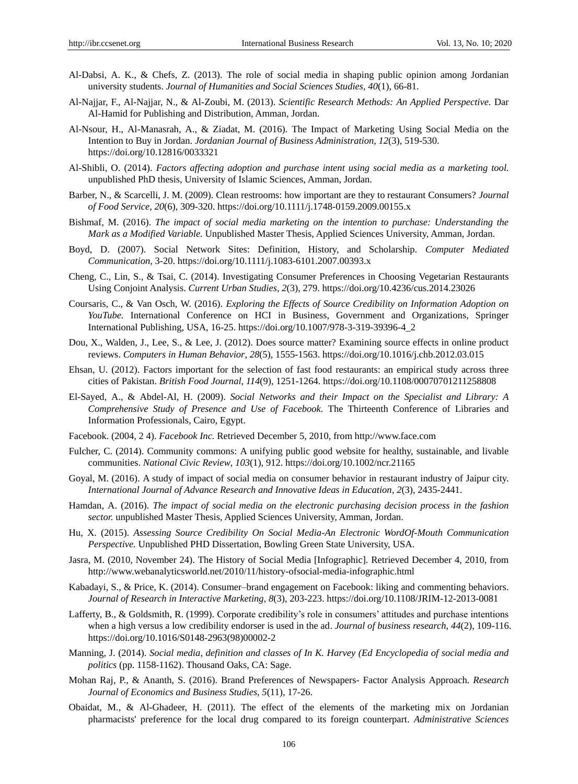- Al-Dabsi, A. K., & Chefs, Z. (2013). The role of social media in shaping public opinion among Jordanian university students. *Journal of Humanities and Social Sciences Studies, 40*(1), 66-81.
- Al-Najjar, F., Al-Najjar, N., & Al-Zoubi, M. (2013). *Scientific Research Methods: An Applied Perspective.* Dar Al-Hamid for Publishing and Distribution, Amman, Jordan.
- Al-Nsour, H., Al-Manasrah, A., & Ziadat, M. (2016). The Impact of Marketing Using Social Media on the Intention to Buy in Jordan. *Jordanian Journal of Business Administration, 12*(3), 519-530. https://doi.org/10.12816/0033321
- Al-Shibli, O. (2014). *Factors affecting adoption and purchase intent using social media as a marketing tool.* unpublished PhD thesis, University of Islamic Sciences, Amman, Jordan.
- Barber, N., & Scarcelli, J. M. (2009). Clean restrooms: how important are they to restaurant Consumers? *Journal of Food Service*, *20*(6), 309-320. https://doi.org/10.1111/j.1748-0159.2009.00155.x
- Bishmaf, M. (2016). *The impact of social media marketing on the intention to purchase: Understanding the Mark as a Modified Variable.* Unpublished Master Thesis, Applied Sciences University, Amman, Jordan.
- Boyd, D. (2007). Social Network Sites: Definition, History, and Scholarship. *Computer Mediated Communication,* 3-20. https://doi.org/10.1111/j.1083-6101.2007.00393.x
- Cheng, C., Lin, S., & Tsai, C. (2014). Investigating Consumer Preferences in Choosing Vegetarian Restaurants Using Conjoint Analysis. *Current Urban Studies*, *2*(3), 279. https://doi.org/10.4236/cus.2014.23026
- Coursaris, C., & Van Osch, W. (2016). *Exploring the Effects of Source Credibility on Information Adoption on YouTube.* International Conference on HCI in Business, Government and Organizations, Springer International Publishing, USA, 16-25. https://doi.org/10.1007/978-3-319-39396-4\_2
- Dou, X., Walden, J., Lee, S., & Lee, J. (2012). Does source matter? Examining source effects in online product reviews. *Computers in Human Behavior*, *28*(5), 1555-1563. https://doi.org/10.1016/j.chb.2012.03.015
- Ehsan, U. (2012). Factors important for the selection of fast food restaurants: an empirical study across three cities of Pakistan. *British Food Journal*, *114*(9), 1251-1264. https://doi.org/10.1108/00070701211258808
- El-Sayed, A., & Abdel-Al, H. (2009). *Social Networks and their Impact on the Specialist and Library: A Comprehensive Study of Presence and Use of Facebook.* The Thirteenth Conference of Libraries and Information Professionals, Cairo, Egypt.
- Facebook. (2004, 2 4). *Facebook Inc.* Retrieved December 5, 2010, from http://www.face.com
- Fulcher, C. (2014). Community commons: A unifying public good website for healthy, sustainable, and livable communities. *National Civic Review*, *103*(1), 912. https://doi.org/10.1002/ncr.21165
- Goyal, M. (2016). A study of impact of social media on consumer behavior in restaurant industry of Jaipur city. *International Journal of Advance Research and Innovative Ideas in Education*, *2*(3), 2435-2441.
- Hamdan, A. (2016). *The impact of social media on the electronic purchasing decision process in the fashion sector.* unpublished Master Thesis, Applied Sciences University, Amman, Jordan.
- Hu, X. (2015). *Assessing Source Credibility On Social Media-An Electronic WordOf-Mouth Communication Perspective.* Unpublished PHD Dissertation, Bowling Green State University, USA.
- Jasra, M. (2010, November 24). The History of Social Media [Infographic]. Retrieved December 4, 2010, from http://www.webanalyticsworld.net/2010/11/history-ofsocial-media-infographic.html
- Kabadayi, S., & Price, K. (2014). Consumer–brand engagement on Facebook: liking and commenting behaviors. *Journal of Research in Interactive Marketing*, *8*(3), 203-223. https://doi.org/10.1108/JRIM-12-2013-0081
- Lafferty, B., & Goldsmith, R. (1999). Corporate credibility's role in consumers' attitudes and purchase intentions when a high versus a low credibility endorser is used in the ad. *Journal of business research*, *44*(2), 109-116. https://doi.org/10.1016/S0148-2963(98)00002-2
- Manning, J. (2014). *Social media, definition and classes of In K. Harvey (Ed Encyclopedia of social media and politics* (pp. 1158-1162). Thousand Oaks, CA: Sage.
- Mohan Raj, P., & Ananth, S. (2016). Brand Preferences of Newspapers- Factor Analysis Approach. *Research Journal of Economics and Business Studies*, *5*(11), 17-26.
- Obaidat, M., & Al-Ghadeer, H. (2011). The effect of the elements of the marketing mix on Jordanian pharmacists' preference for the local drug compared to its foreign counterpart. *Administrative Sciences*